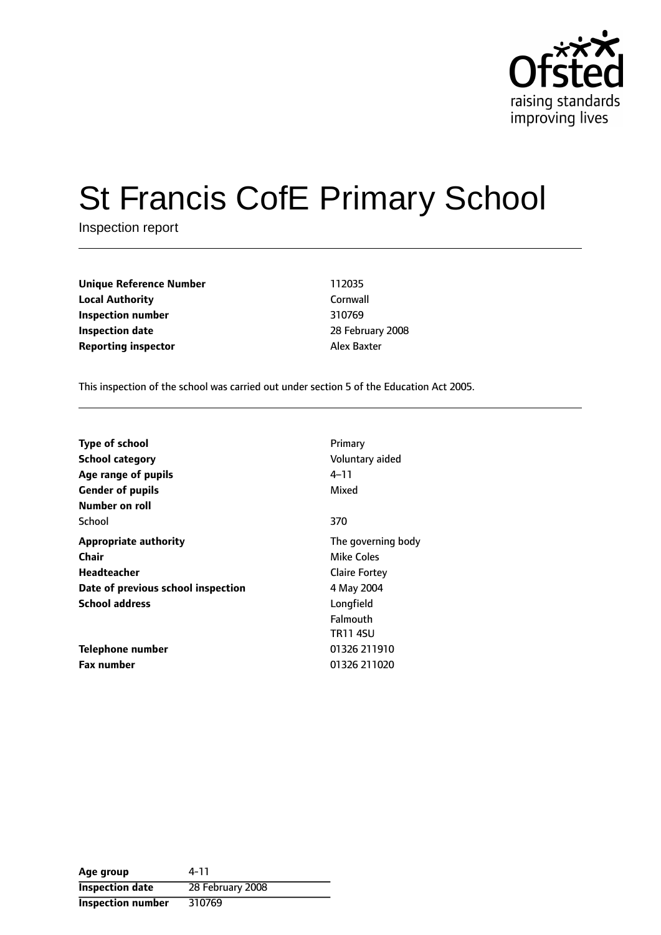

# St Francis CofE Primary School

Inspection report

**Unique Reference Number** 112035 **Local Authority** Cornwall **Inspection number** 310769 **Inspection date** 28 February 2008 **Reporting inspector Alex Baxter** 

This inspection of the school was carried out under section 5 of the Education Act 2005.

| <b>Type of school</b><br><b>School category</b><br>Age range of pupils<br><b>Gender of pupils</b> | Primary<br>Voluntary aided<br>4–11<br>Mixed |
|---------------------------------------------------------------------------------------------------|---------------------------------------------|
| Number on roll                                                                                    |                                             |
| School                                                                                            | 370                                         |
| <b>Appropriate authority</b>                                                                      | The governing body                          |
| Chair                                                                                             | Mike Coles                                  |
| <b>Headteacher</b>                                                                                | <b>Claire Fortey</b>                        |
| Date of previous school inspection                                                                | 4 May 2004                                  |
| <b>School address</b>                                                                             | Longfield                                   |
|                                                                                                   | Falmouth                                    |
|                                                                                                   | <b>TR11 4SU</b>                             |
| Telephone number                                                                                  | 01326 211910                                |
| <b>Fax number</b>                                                                                 | 01326 211020                                |

| Age group                | 4-11             |
|--------------------------|------------------|
| <b>Inspection date</b>   | 28 February 2008 |
| <b>Inspection number</b> | 310769           |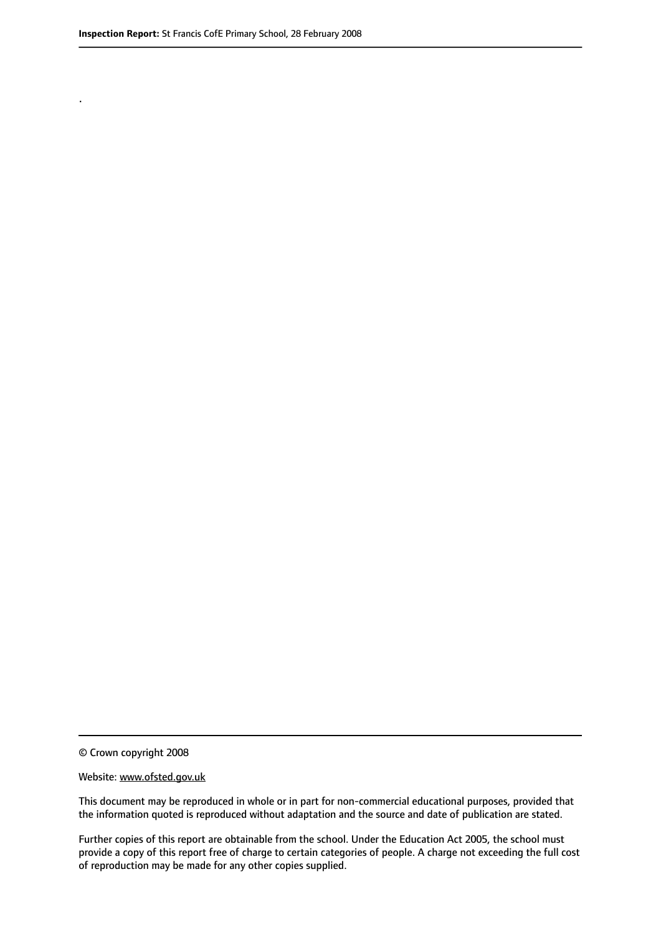.

© Crown copyright 2008

#### Website: www.ofsted.gov.uk

This document may be reproduced in whole or in part for non-commercial educational purposes, provided that the information quoted is reproduced without adaptation and the source and date of publication are stated.

Further copies of this report are obtainable from the school. Under the Education Act 2005, the school must provide a copy of this report free of charge to certain categories of people. A charge not exceeding the full cost of reproduction may be made for any other copies supplied.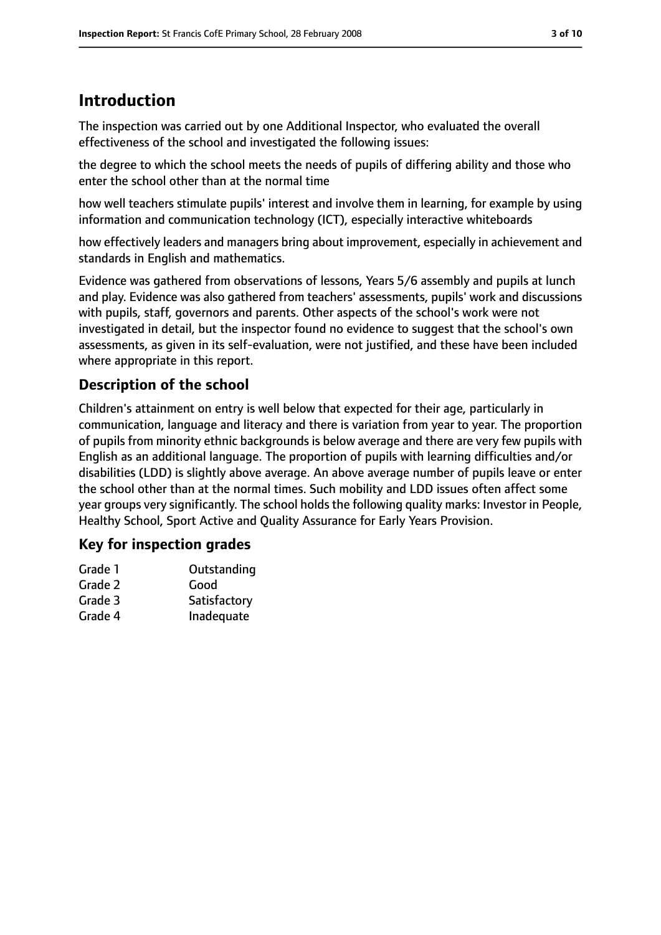# **Introduction**

The inspection was carried out by one Additional Inspector, who evaluated the overall effectiveness of the school and investigated the following issues:

the degree to which the school meets the needs of pupils of differing ability and those who enter the school other than at the normal time

how well teachers stimulate pupils' interest and involve them in learning, for example by using information and communication technology (ICT), especially interactive whiteboards

how effectively leaders and managers bring about improvement, especially in achievement and standards in English and mathematics.

Evidence was gathered from observations of lessons, Years 5/6 assembly and pupils at lunch and play. Evidence was also gathered from teachers' assessments, pupils' work and discussions with pupils, staff, governors and parents. Other aspects of the school's work were not investigated in detail, but the inspector found no evidence to suggest that the school's own assessments, as given in its self-evaluation, were not justified, and these have been included where appropriate in this report.

# **Description of the school**

Children's attainment on entry is well below that expected for their age, particularly in communication, language and literacy and there is variation from year to year. The proportion of pupils from minority ethnic backgrounds is below average and there are very few pupils with English as an additional language. The proportion of pupils with learning difficulties and/or disabilities (LDD) is slightly above average. An above average number of pupils leave or enter the school other than at the normal times. Such mobility and LDD issues often affect some year groups very significantly. The school holds the following quality marks: Investor in People, Healthy School, Sport Active and Quality Assurance for Early Years Provision.

# **Key for inspection grades**

| Outstanding  |
|--------------|
| Good         |
| Satisfactory |
| Inadequate   |
|              |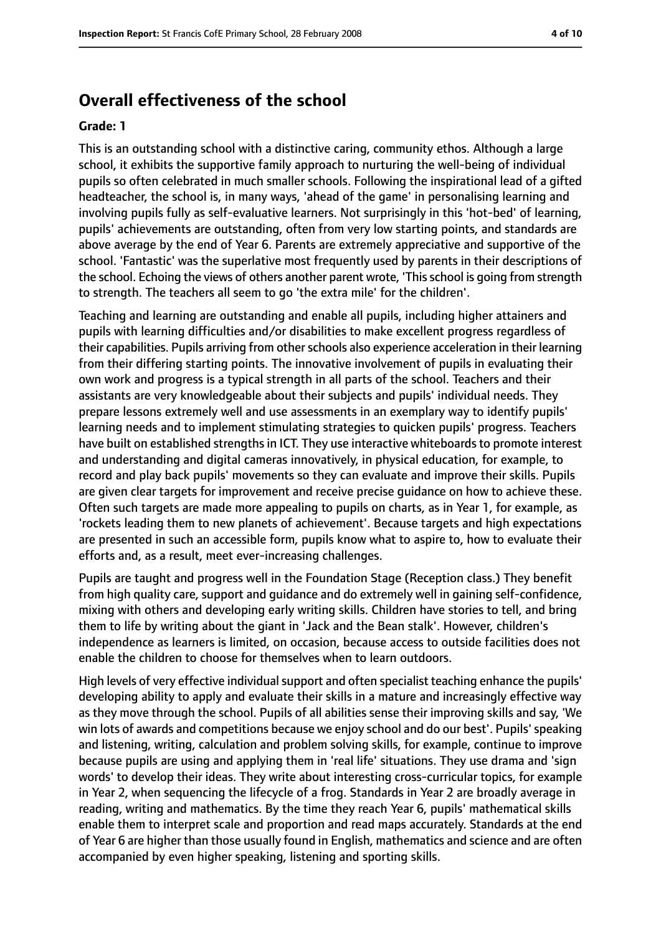# **Overall effectiveness of the school**

#### **Grade: 1**

This is an outstanding school with a distinctive caring, community ethos. Although a large school, it exhibits the supportive family approach to nurturing the well-being of individual pupils so often celebrated in much smaller schools. Following the inspirational lead of a gifted headteacher, the school is, in many ways, 'ahead of the game' in personalising learning and involving pupils fully as self-evaluative learners. Not surprisingly in this 'hot-bed' of learning, pupils' achievements are outstanding, often from very low starting points, and standards are above average by the end of Year 6. Parents are extremely appreciative and supportive of the school. 'Fantastic' was the superlative most frequently used by parents in their descriptions of the school. Echoing the views of others another parent wrote, 'This school is going from strength to strength. The teachers all seem to go 'the extra mile' for the children'.

Teaching and learning are outstanding and enable all pupils, including higher attainers and pupils with learning difficulties and/or disabilities to make excellent progress regardless of their capabilities. Pupils arriving from other schools also experience acceleration in their learning from their differing starting points. The innovative involvement of pupils in evaluating their own work and progress is a typical strength in all parts of the school. Teachers and their assistants are very knowledgeable about their subjects and pupils' individual needs. They prepare lessons extremely well and use assessments in an exemplary way to identify pupils' learning needs and to implement stimulating strategies to quicken pupils' progress. Teachers have built on established strengths in ICT. They use interactive whiteboards to promote interest and understanding and digital cameras innovatively, in physical education, for example, to record and play back pupils' movements so they can evaluate and improve their skills. Pupils are given clear targets for improvement and receive precise guidance on how to achieve these. Often such targets are made more appealing to pupils on charts, as in Year 1, for example, as 'rockets leading them to new planets of achievement'. Because targets and high expectations are presented in such an accessible form, pupils know what to aspire to, how to evaluate their efforts and, as a result, meet ever-increasing challenges.

Pupils are taught and progress well in the Foundation Stage (Reception class.) They benefit from high quality care, support and guidance and do extremely well in gaining self-confidence, mixing with others and developing early writing skills. Children have stories to tell, and bring them to life by writing about the giant in 'Jack and the Bean stalk'. However, children's independence as learners is limited, on occasion, because access to outside facilities does not enable the children to choose for themselves when to learn outdoors.

High levels of very effective individual support and often specialist teaching enhance the pupils' developing ability to apply and evaluate their skills in a mature and increasingly effective way as they move through the school. Pupils of all abilities sense their improving skills and say, 'We win lots of awards and competitions because we enjoy school and do our best'. Pupils'speaking and listening, writing, calculation and problem solving skills, for example, continue to improve because pupils are using and applying them in 'real life' situations. They use drama and 'sign words' to develop their ideas. They write about interesting cross-curricular topics, for example in Year 2, when sequencing the lifecycle of a frog. Standards in Year 2 are broadly average in reading, writing and mathematics. By the time they reach Year 6, pupils' mathematical skills enable them to interpret scale and proportion and read maps accurately. Standards at the end of Year 6 are higher than those usually found in English, mathematics and science and are often accompanied by even higher speaking, listening and sporting skills.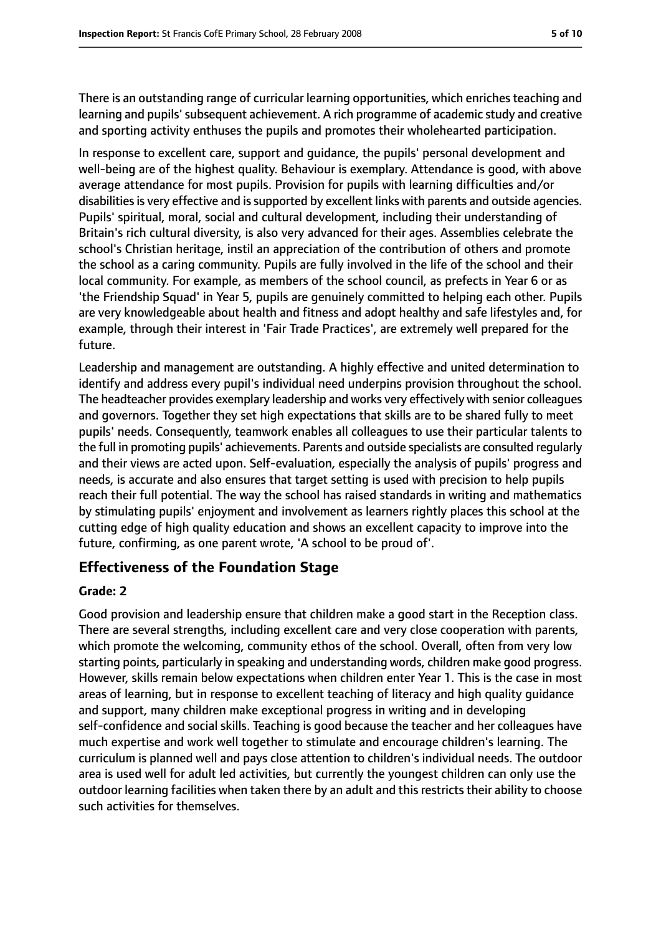There is an outstanding range of curricular learning opportunities, which enriches teaching and learning and pupils'subsequent achievement. A rich programme of academic study and creative and sporting activity enthuses the pupils and promotes their wholehearted participation.

In response to excellent care, support and guidance, the pupils' personal development and well-being are of the highest quality. Behaviour is exemplary. Attendance is good, with above average attendance for most pupils. Provision for pupils with learning difficulties and/or disabilities is very effective and is supported by excellent links with parents and outside agencies. Pupils' spiritual, moral, social and cultural development, including their understanding of Britain's rich cultural diversity, is also very advanced for their ages. Assemblies celebrate the school's Christian heritage, instil an appreciation of the contribution of others and promote the school as a caring community. Pupils are fully involved in the life of the school and their local community. For example, as members of the school council, as prefects in Year 6 or as 'the Friendship Squad' in Year 5, pupils are genuinely committed to helping each other. Pupils are very knowledgeable about health and fitness and adopt healthy and safe lifestyles and, for example, through their interest in 'Fair Trade Practices', are extremely well prepared for the future.

Leadership and management are outstanding. A highly effective and united determination to identify and address every pupil's individual need underpins provision throughout the school. The headteacher provides exemplary leadership and works very effectively with senior colleagues and governors. Together they set high expectations that skills are to be shared fully to meet pupils' needs. Consequently, teamwork enables all colleagues to use their particular talents to the full in promoting pupils' achievements. Parents and outside specialists are consulted regularly and their views are acted upon. Self-evaluation, especially the analysis of pupils' progress and needs, is accurate and also ensures that target setting is used with precision to help pupils reach their full potential. The way the school has raised standards in writing and mathematics by stimulating pupils' enjoyment and involvement as learners rightly places this school at the cutting edge of high quality education and shows an excellent capacity to improve into the future, confirming, as one parent wrote, 'A school to be proud of'.

# **Effectiveness of the Foundation Stage**

### **Grade: 2**

Good provision and leadership ensure that children make a good start in the Reception class. There are several strengths, including excellent care and very close cooperation with parents, which promote the welcoming, community ethos of the school. Overall, often from very low starting points, particularly in speaking and understanding words, children make good progress. However, skills remain below expectations when children enter Year 1. This is the case in most areas of learning, but in response to excellent teaching of literacy and high quality guidance and support, many children make exceptional progress in writing and in developing self-confidence and social skills. Teaching is good because the teacher and her colleagues have much expertise and work well together to stimulate and encourage children's learning. The curriculum is planned well and pays close attention to children's individual needs. The outdoor area is used well for adult led activities, but currently the youngest children can only use the outdoor learning facilities when taken there by an adult and this restricts their ability to choose such activities for themselves.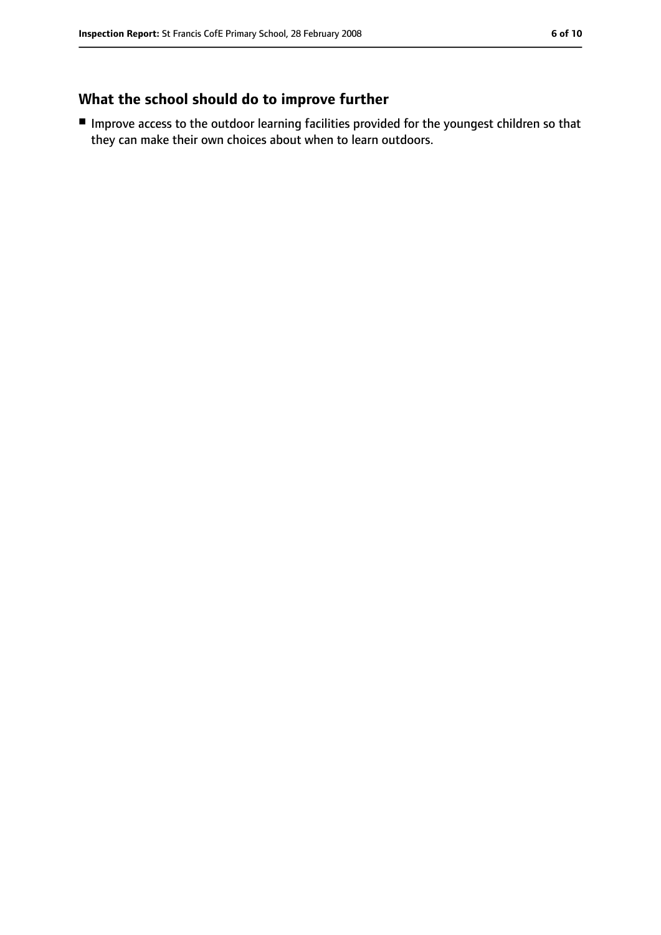# **What the school should do to improve further**

■ Improve access to the outdoor learning facilities provided for the youngest children so that they can make their own choices about when to learn outdoors.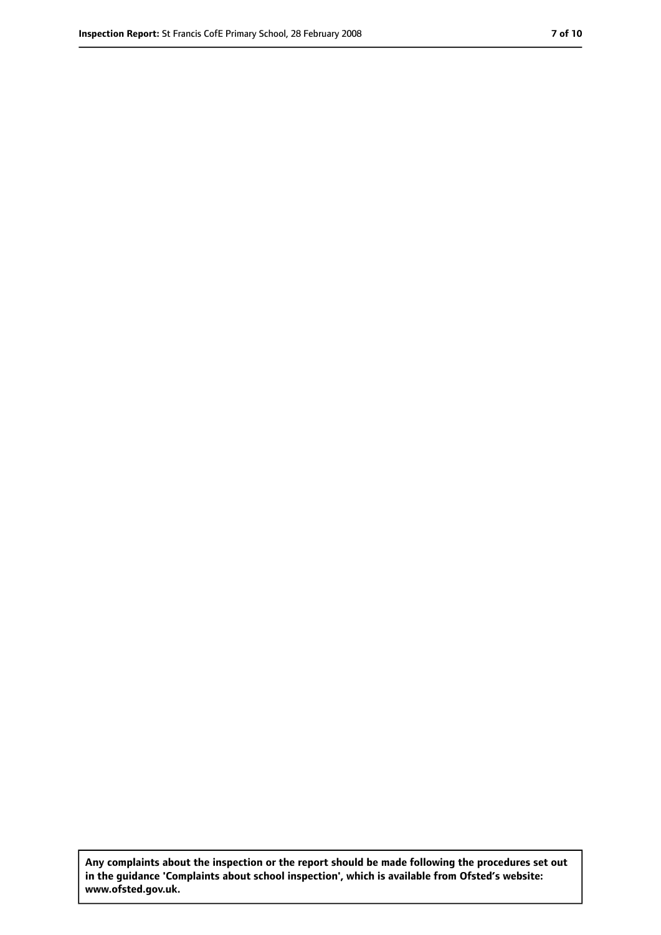**Any complaints about the inspection or the report should be made following the procedures set out in the guidance 'Complaints about school inspection', which is available from Ofsted's website: www.ofsted.gov.uk.**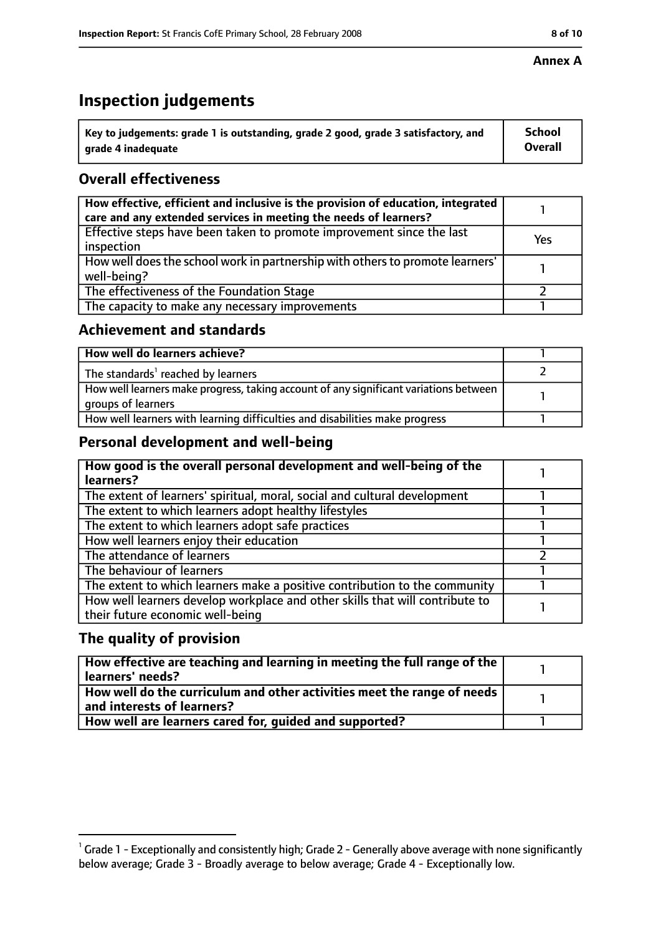# **Inspection judgements**

| $^{\backprime}$ Key to judgements: grade 1 is outstanding, grade 2 good, grade 3 satisfactory, and | <b>School</b>  |
|----------------------------------------------------------------------------------------------------|----------------|
| arade 4 inadeguate                                                                                 | <b>Overall</b> |

# **Overall effectiveness**

| How effective, efficient and inclusive is the provision of education, integrated<br>care and any extended services in meeting the needs of learners? |     |
|------------------------------------------------------------------------------------------------------------------------------------------------------|-----|
| Effective steps have been taken to promote improvement since the last<br>inspection                                                                  | Yes |
| How well does the school work in partnership with others to promote learners'<br>well-being?                                                         |     |
| The effectiveness of the Foundation Stage                                                                                                            |     |
| The capacity to make any necessary improvements                                                                                                      |     |

# **Achievement and standards**

| How well do learners achieve?                                                                               |  |
|-------------------------------------------------------------------------------------------------------------|--|
| The standards <sup>1</sup> reached by learners                                                              |  |
| How well learners make progress, taking account of any significant variations between<br>groups of learners |  |
| How well learners with learning difficulties and disabilities make progress                                 |  |

# **Personal development and well-being**

| How good is the overall personal development and well-being of the<br>learners?                                  |  |
|------------------------------------------------------------------------------------------------------------------|--|
| The extent of learners' spiritual, moral, social and cultural development                                        |  |
| The extent to which learners adopt healthy lifestyles                                                            |  |
| The extent to which learners adopt safe practices                                                                |  |
| How well learners enjoy their education                                                                          |  |
| The attendance of learners                                                                                       |  |
| The behaviour of learners                                                                                        |  |
| The extent to which learners make a positive contribution to the community                                       |  |
| How well learners develop workplace and other skills that will contribute to<br>their future economic well-being |  |

# **The quality of provision**

| How effective are teaching and learning in meeting the full range of the<br>learners' needs?          |  |
|-------------------------------------------------------------------------------------------------------|--|
| How well do the curriculum and other activities meet the range of needs<br>and interests of learners? |  |
| How well are learners cared for, quided and supported?                                                |  |

 $^1$  Grade 1 - Exceptionally and consistently high; Grade 2 - Generally above average with none significantly below average; Grade 3 - Broadly average to below average; Grade 4 - Exceptionally low.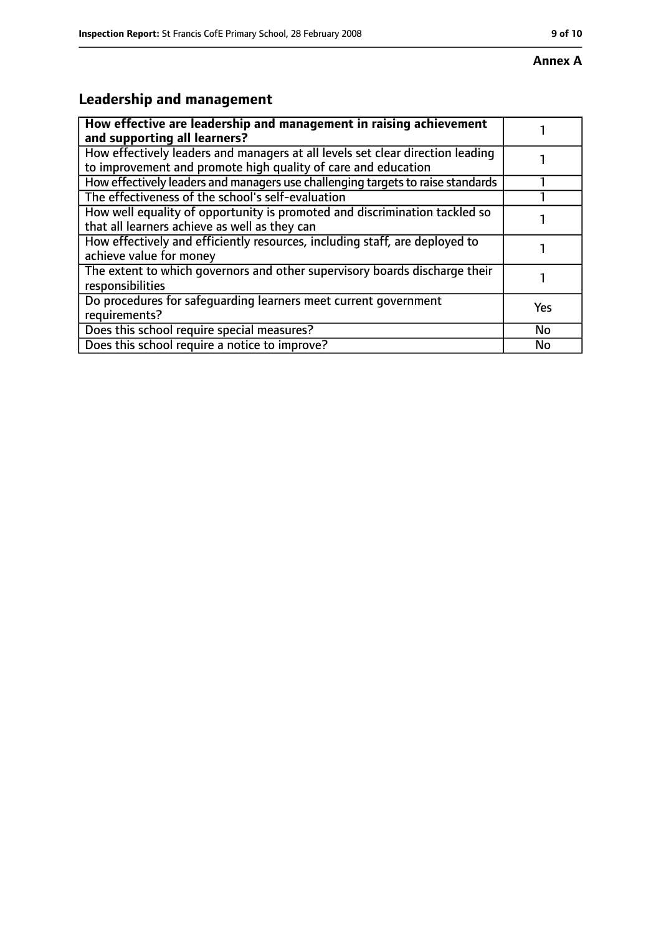# **Leadership and management**

| How effective are leadership and management in raising achievement<br>and supporting all learners?                                              |           |
|-------------------------------------------------------------------------------------------------------------------------------------------------|-----------|
| How effectively leaders and managers at all levels set clear direction leading<br>to improvement and promote high quality of care and education |           |
| How effectively leaders and managers use challenging targets to raise standards                                                                 |           |
| The effectiveness of the school's self-evaluation                                                                                               |           |
| How well equality of opportunity is promoted and discrimination tackled so<br>that all learners achieve as well as they can                     |           |
| How effectively and efficiently resources, including staff, are deployed to<br>achieve value for money                                          |           |
| The extent to which governors and other supervisory boards discharge their<br>responsibilities                                                  |           |
| Do procedures for safequarding learners meet current government<br>requirements?                                                                | Yes       |
| Does this school require special measures?                                                                                                      | <b>No</b> |
| Does this school require a notice to improve?                                                                                                   | No        |